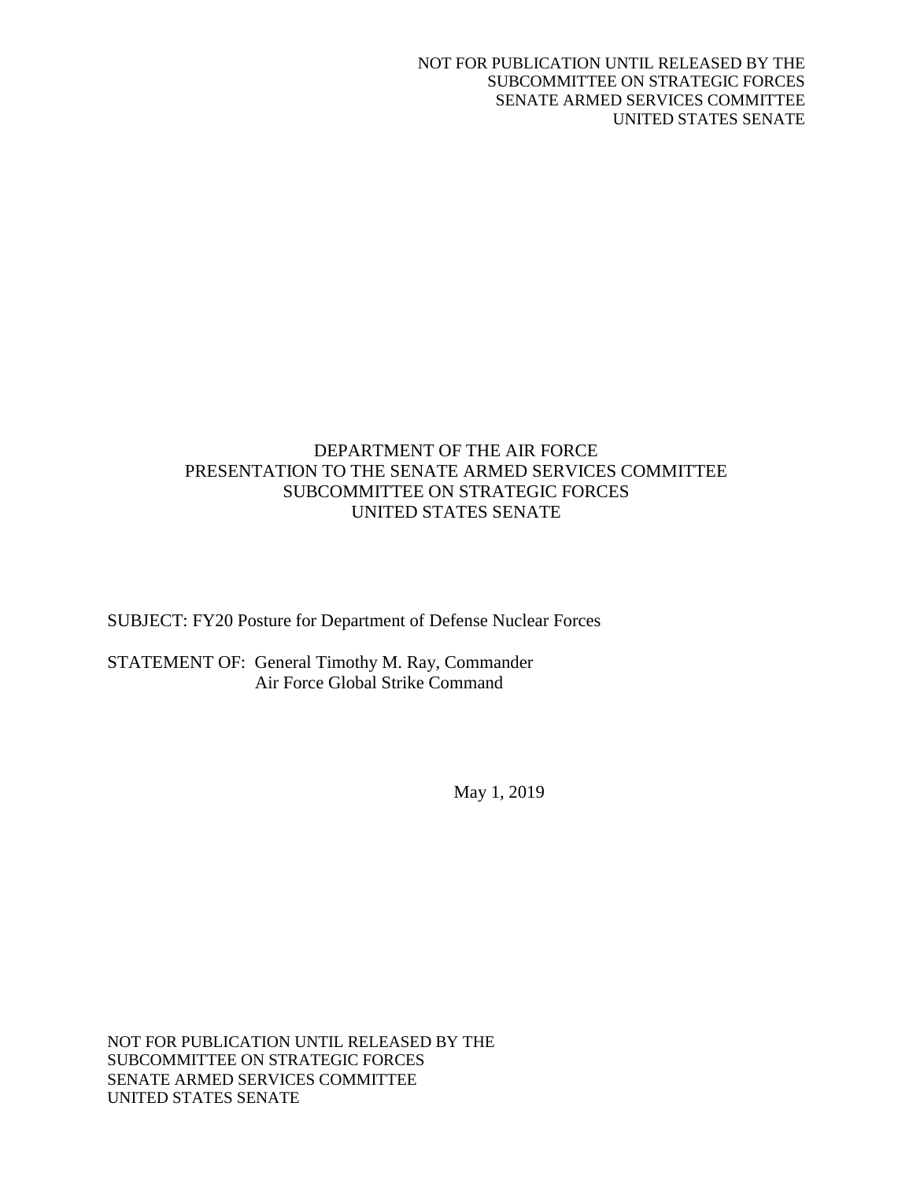# DEPARTMENT OF THE AIR FORCE PRESENTATION TO THE SENATE ARMED SERVICES COMMITTEE SUBCOMMITTEE ON STRATEGIC FORCES UNITED STATES SENATE

SUBJECT: FY20 Posture for Department of Defense Nuclear Forces

STATEMENT OF: General Timothy M. Ray, Commander Air Force Global Strike Command

May 1, 2019

NOT FOR PUBLICATION UNTIL RELEASED BY THE SUBCOMMITTEE ON STRATEGIC FORCES SENATE ARMED SERVICES COMMITTEE UNITED STATES SENATE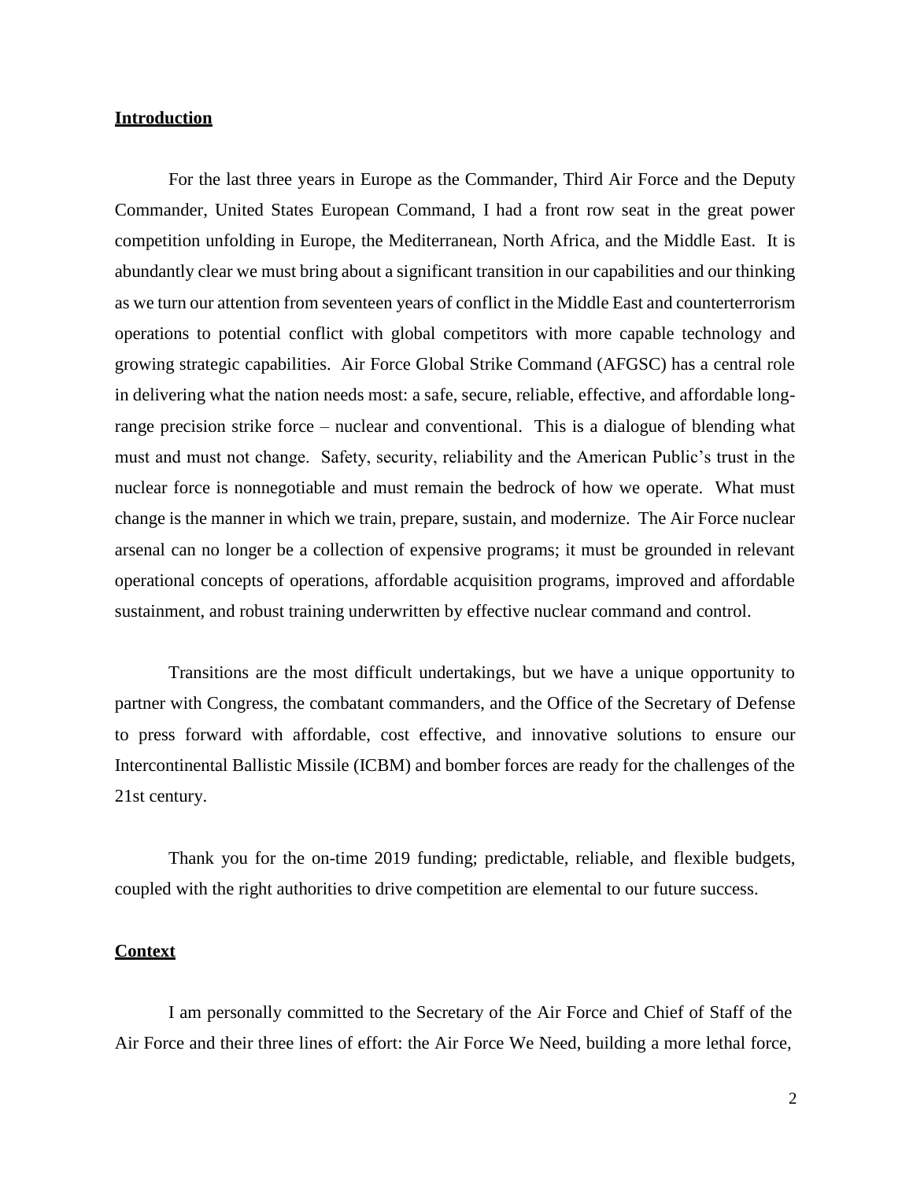## **Introduction**

For the last three years in Europe as the Commander, Third Air Force and the Deputy Commander, United States European Command, I had a front row seat in the great power competition unfolding in Europe, the Mediterranean, North Africa, and the Middle East. It is abundantly clear we must bring about a significant transition in our capabilities and our thinking as we turn our attention from seventeen years of conflict in the Middle East and counterterrorism operations to potential conflict with global competitors with more capable technology and growing strategic capabilities. Air Force Global Strike Command (AFGSC) has a central role in delivering what the nation needs most: a safe, secure, reliable, effective, and affordable longrange precision strike force – nuclear and conventional. This is a dialogue of blending what must and must not change. Safety, security, reliability and the American Public's trust in the nuclear force is nonnegotiable and must remain the bedrock of how we operate. What must change is the manner in which we train, prepare, sustain, and modernize. The Air Force nuclear arsenal can no longer be a collection of expensive programs; it must be grounded in relevant operational concepts of operations, affordable acquisition programs, improved and affordable sustainment, and robust training underwritten by effective nuclear command and control.

Transitions are the most difficult undertakings, but we have a unique opportunity to partner with Congress, the combatant commanders, and the Office of the Secretary of Defense to press forward with affordable, cost effective, and innovative solutions to ensure our Intercontinental Ballistic Missile (ICBM) and bomber forces are ready for the challenges of the 21st century.

Thank you for the on-time 2019 funding; predictable, reliable, and flexible budgets, coupled with the right authorities to drive competition are elemental to our future success.

#### **Context**

I am personally committed to the Secretary of the Air Force and Chief of Staff of the Air Force and their three lines of effort: the Air Force We Need, building a more lethal force,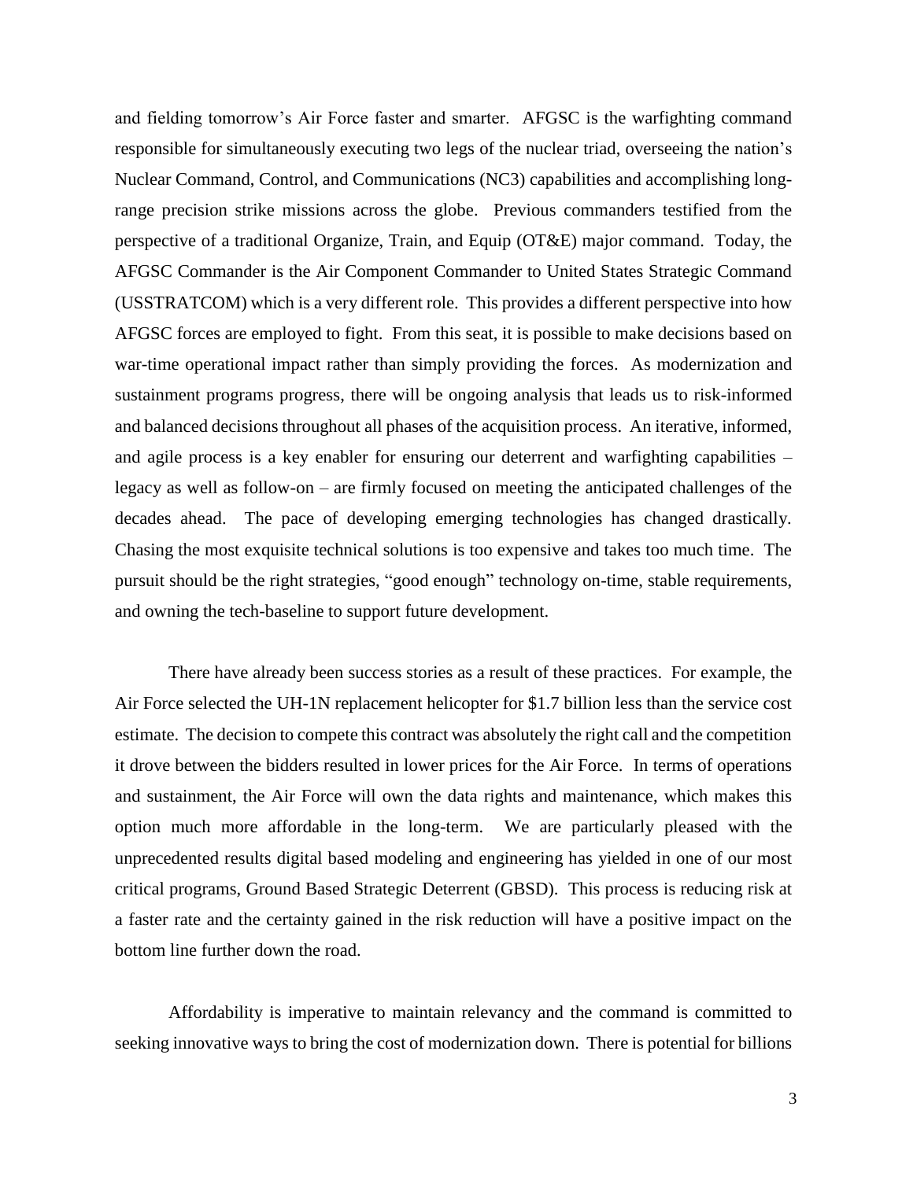and fielding tomorrow's Air Force faster and smarter. AFGSC is the warfighting command responsible for simultaneously executing two legs of the nuclear triad, overseeing the nation's Nuclear Command, Control, and Communications (NC3) capabilities and accomplishing longrange precision strike missions across the globe. Previous commanders testified from the perspective of a traditional Organize, Train, and Equip (OT&E) major command. Today, the AFGSC Commander is the Air Component Commander to United States Strategic Command (USSTRATCOM) which is a very different role. This provides a different perspective into how AFGSC forces are employed to fight. From this seat, it is possible to make decisions based on war-time operational impact rather than simply providing the forces. As modernization and sustainment programs progress, there will be ongoing analysis that leads us to risk-informed and balanced decisions throughout all phases of the acquisition process. An iterative, informed, and agile process is a key enabler for ensuring our deterrent and warfighting capabilities – legacy as well as follow-on – are firmly focused on meeting the anticipated challenges of the decades ahead. The pace of developing emerging technologies has changed drastically. Chasing the most exquisite technical solutions is too expensive and takes too much time. The pursuit should be the right strategies, "good enough" technology on-time, stable requirements, and owning the tech-baseline to support future development.

There have already been success stories as a result of these practices. For example, the Air Force selected the UH-1N replacement helicopter for \$1.7 billion less than the service cost estimate. The decision to compete this contract was absolutely the right call and the competition it drove between the bidders resulted in lower prices for the Air Force. In terms of operations and sustainment, the Air Force will own the data rights and maintenance, which makes this option much more affordable in the long-term. We are particularly pleased with the unprecedented results digital based modeling and engineering has yielded in one of our most critical programs, Ground Based Strategic Deterrent (GBSD). This process is reducing risk at a faster rate and the certainty gained in the risk reduction will have a positive impact on the bottom line further down the road.

Affordability is imperative to maintain relevancy and the command is committed to seeking innovative ways to bring the cost of modernization down. There is potential for billions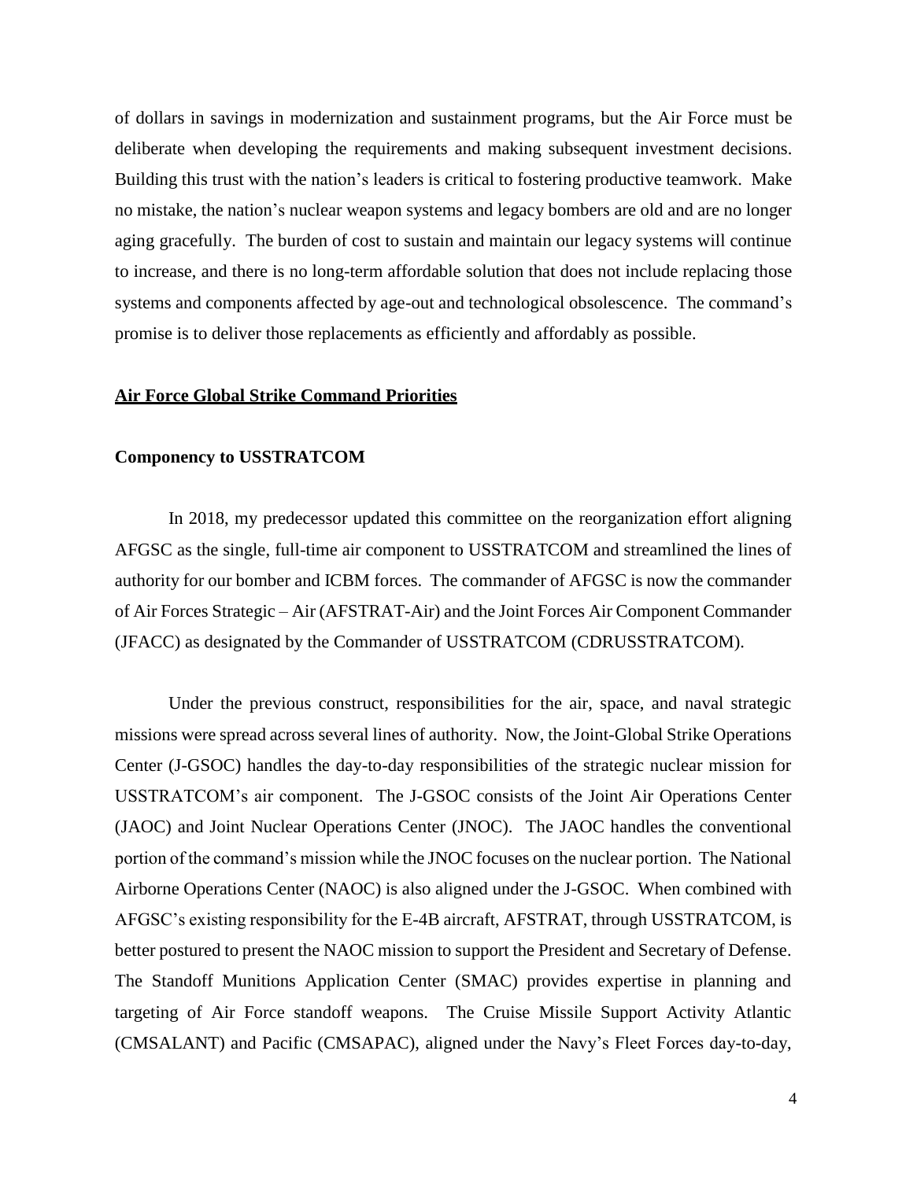of dollars in savings in modernization and sustainment programs, but the Air Force must be deliberate when developing the requirements and making subsequent investment decisions. Building this trust with the nation's leaders is critical to fostering productive teamwork. Make no mistake, the nation's nuclear weapon systems and legacy bombers are old and are no longer aging gracefully. The burden of cost to sustain and maintain our legacy systems will continue to increase, and there is no long-term affordable solution that does not include replacing those systems and components affected by age-out and technological obsolescence. The command's promise is to deliver those replacements as efficiently and affordably as possible.

## **Air Force Global Strike Command Priorities**

#### **Componency to USSTRATCOM**

In 2018, my predecessor updated this committee on the reorganization effort aligning AFGSC as the single, full-time air component to USSTRATCOM and streamlined the lines of authority for our bomber and ICBM forces. The commander of AFGSC is now the commander of Air Forces Strategic – Air (AFSTRAT-Air) and the Joint Forces Air Component Commander (JFACC) as designated by the Commander of USSTRATCOM (CDRUSSTRATCOM).

Under the previous construct, responsibilities for the air, space, and naval strategic missions were spread across several lines of authority. Now, the Joint-Global Strike Operations Center (J-GSOC) handles the day-to-day responsibilities of the strategic nuclear mission for USSTRATCOM's air component. The J-GSOC consists of the Joint Air Operations Center (JAOC) and Joint Nuclear Operations Center (JNOC). The JAOC handles the conventional portion of the command's mission while the JNOC focuses on the nuclear portion. The National Airborne Operations Center (NAOC) is also aligned under the J-GSOC. When combined with AFGSC's existing responsibility for the E-4B aircraft, AFSTRAT, through USSTRATCOM, is better postured to present the NAOC mission to support the President and Secretary of Defense. The Standoff Munitions Application Center (SMAC) provides expertise in planning and targeting of Air Force standoff weapons. The Cruise Missile Support Activity Atlantic (CMSALANT) and Pacific (CMSAPAC), aligned under the Navy's Fleet Forces day-to-day,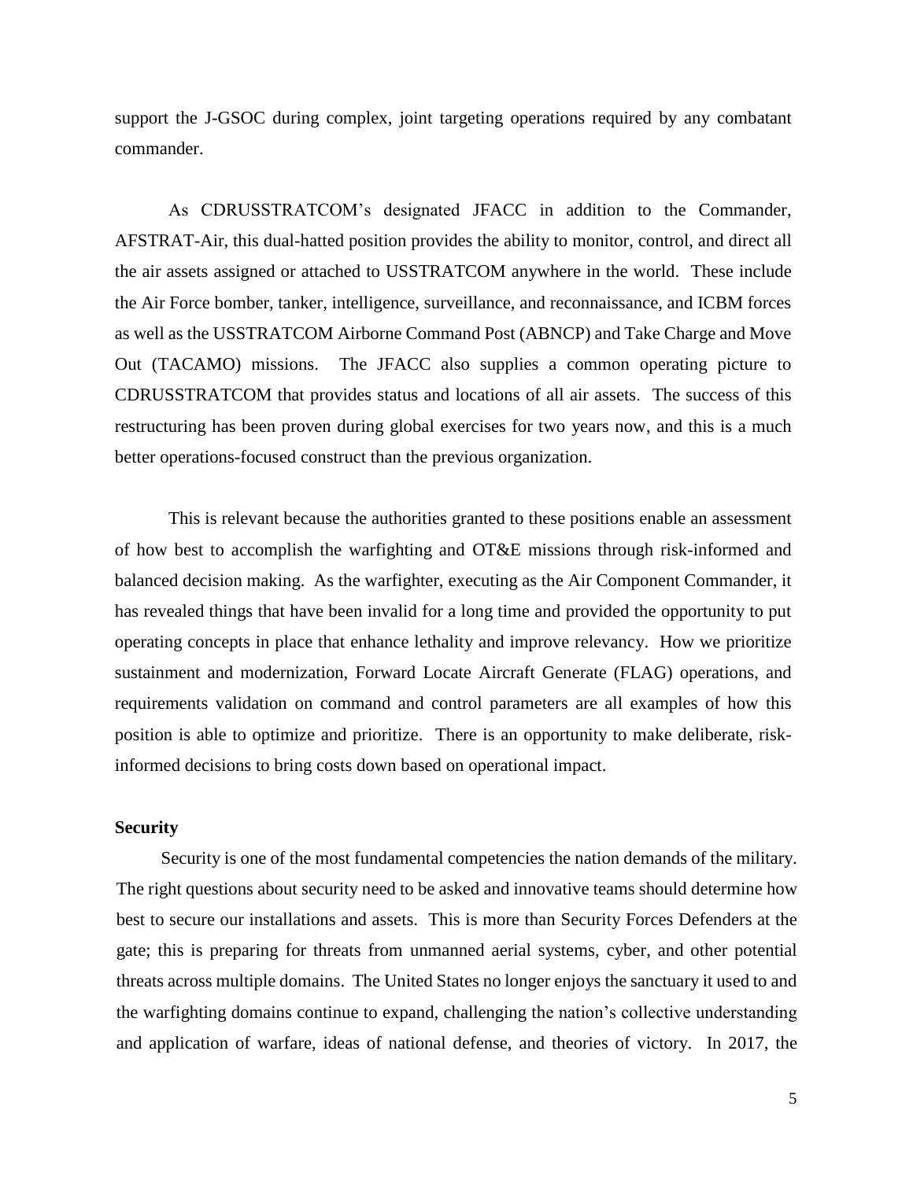support the J-GSOC during complex, joint targeting operations required by any combatant commander.

As CDRUSSTRATCOM's designated JFACC in addition to the Commander, AFSTRAT-Air, this dual-hatted position provides the ability to monitor, control, and direct all the air assets assigned or attached to USSTRATCOM anywhere in the world. These include the Air Force bomber, tanker, intelligence, surveillance, and reconnaissance, and ICBM forces as well as the USSTRATCOM Airborne Command Post (ABNCP) and Take Charge and Move Out (TACAMO) missions. The JFACC also supplies a common operating picture to CDRUSSTRATCOM that provides status and locations of all air assets. The success of this restructuring has been proven during global exercises for two years now, and this is a much better operations-focused construct than the previous organization.

This is relevant because the authorities granted to these positions enable an assessment of how best to accomplish the warfighting and OT&E missions through risk-informed and balanced decision making. As the warfighter, executing as the Air Component Commander, it has revealed things that have been invalid for a long time and provided the opportunity to put operating concepts in place that enhance lethality and improve relevancy. How we prioritize sustainment and modernization, Forward Locate Aircraft Generate (FLAG) operations, and requirements validation on command and control parameters are all examples of how this position is able to optimize and prioritize. There is an opportunity to make deliberate, riskinformed decisions to bring costs down based on operational impact.

## **Security**

Security is one of the most fundamental competencies the nation demands of the military. The right questions about security need to be asked and innovative teams should determine how best to secure our installations and assets. This is more than Security Forces Defenders at the gate; this is preparing for threats from unmanned aerial systems, cyber, and other potential threats across multiple domains. The United States no longer enjoys the sanctuary it used to and the warfighting domains continue to expand, challenging the nation's collective understanding and application of warfare, ideas of national defense, and theories of victory. In 2017, the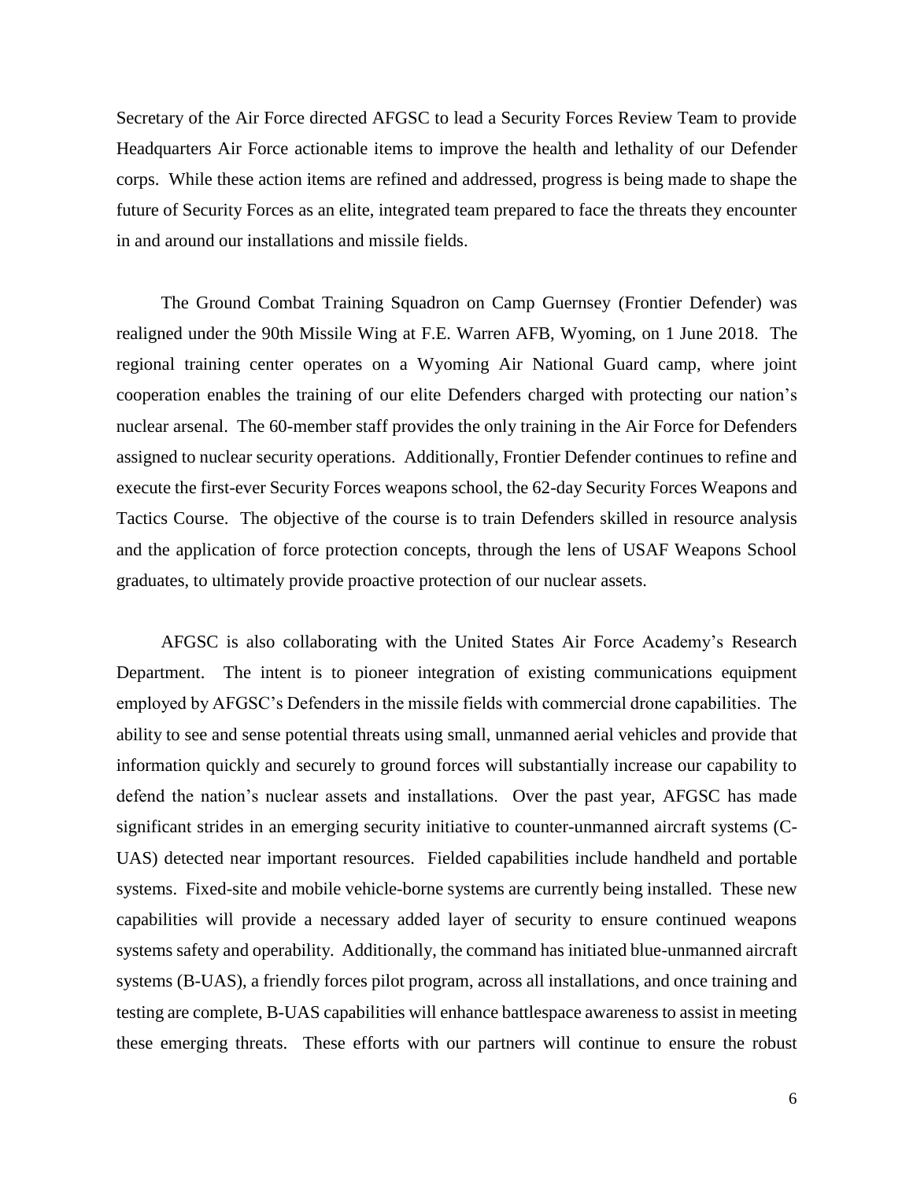Secretary of the Air Force directed AFGSC to lead a Security Forces Review Team to provide Headquarters Air Force actionable items to improve the health and lethality of our Defender corps. While these action items are refined and addressed, progress is being made to shape the future of Security Forces as an elite, integrated team prepared to face the threats they encounter in and around our installations and missile fields.

The Ground Combat Training Squadron on Camp Guernsey (Frontier Defender) was realigned under the 90th Missile Wing at F.E. Warren AFB, Wyoming, on 1 June 2018. The regional training center operates on a Wyoming Air National Guard camp, where joint cooperation enables the training of our elite Defenders charged with protecting our nation's nuclear arsenal. The 60-member staff provides the only training in the Air Force for Defenders assigned to nuclear security operations. Additionally, Frontier Defender continues to refine and execute the first-ever Security Forces weapons school, the 62-day Security Forces Weapons and Tactics Course. The objective of the course is to train Defenders skilled in resource analysis and the application of force protection concepts, through the lens of USAF Weapons School graduates, to ultimately provide proactive protection of our nuclear assets.

AFGSC is also collaborating with the United States Air Force Academy's Research Department. The intent is to pioneer integration of existing communications equipment employed by AFGSC's Defenders in the missile fields with commercial drone capabilities. The ability to see and sense potential threats using small, unmanned aerial vehicles and provide that information quickly and securely to ground forces will substantially increase our capability to defend the nation's nuclear assets and installations. Over the past year, AFGSC has made significant strides in an emerging security initiative to counter-unmanned aircraft systems (C-UAS) detected near important resources. Fielded capabilities include handheld and portable systems. Fixed-site and mobile vehicle-borne systems are currently being installed. These new capabilities will provide a necessary added layer of security to ensure continued weapons systems safety and operability. Additionally, the command has initiated blue-unmanned aircraft systems (B-UAS), a friendly forces pilot program, across all installations, and once training and testing are complete, B-UAS capabilities will enhance battlespace awareness to assist in meeting these emerging threats. These efforts with our partners will continue to ensure the robust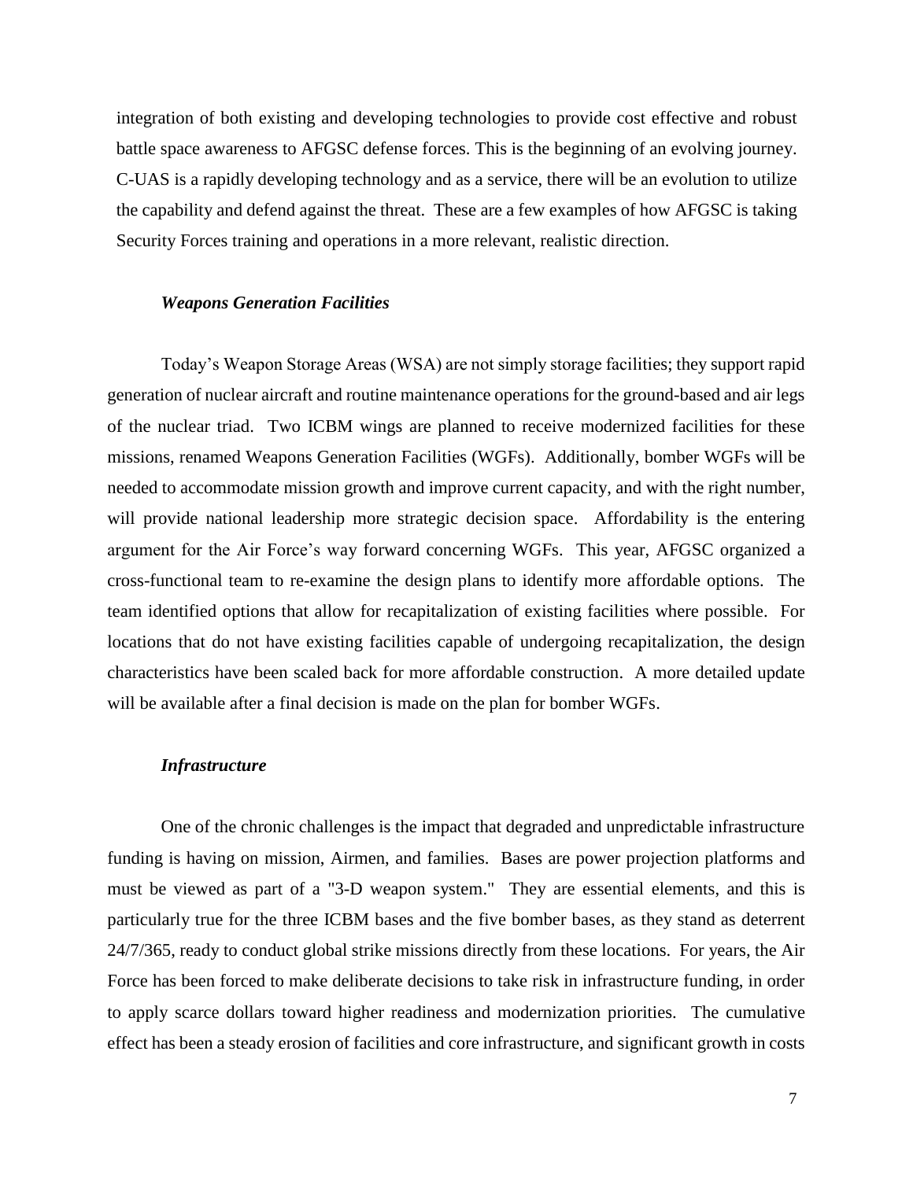integration of both existing and developing technologies to provide cost effective and robust battle space awareness to AFGSC defense forces. This is the beginning of an evolving journey. C-UAS is a rapidly developing technology and as a service, there will be an evolution to utilize the capability and defend against the threat. These are a few examples of how AFGSC is taking Security Forces training and operations in a more relevant, realistic direction.

## *Weapons Generation Facilities*

Today's Weapon Storage Areas (WSA) are not simply storage facilities; they support rapid generation of nuclear aircraft and routine maintenance operations for the ground-based and air legs of the nuclear triad. Two ICBM wings are planned to receive modernized facilities for these missions, renamed Weapons Generation Facilities (WGFs). Additionally, bomber WGFs will be needed to accommodate mission growth and improve current capacity, and with the right number, will provide national leadership more strategic decision space. Affordability is the entering argument for the Air Force's way forward concerning WGFs. This year, AFGSC organized a cross-functional team to re-examine the design plans to identify more affordable options. The team identified options that allow for recapitalization of existing facilities where possible. For locations that do not have existing facilities capable of undergoing recapitalization, the design characteristics have been scaled back for more affordable construction. A more detailed update will be available after a final decision is made on the plan for bomber WGFs.

## *Infrastructure*

One of the chronic challenges is the impact that degraded and unpredictable infrastructure funding is having on mission, Airmen, and families. Bases are power projection platforms and must be viewed as part of a "3-D weapon system." They are essential elements, and this is particularly true for the three ICBM bases and the five bomber bases, as they stand as deterrent 24/7/365, ready to conduct global strike missions directly from these locations. For years, the Air Force has been forced to make deliberate decisions to take risk in infrastructure funding, in order to apply scarce dollars toward higher readiness and modernization priorities. The cumulative effect has been a steady erosion of facilities and core infrastructure, and significant growth in costs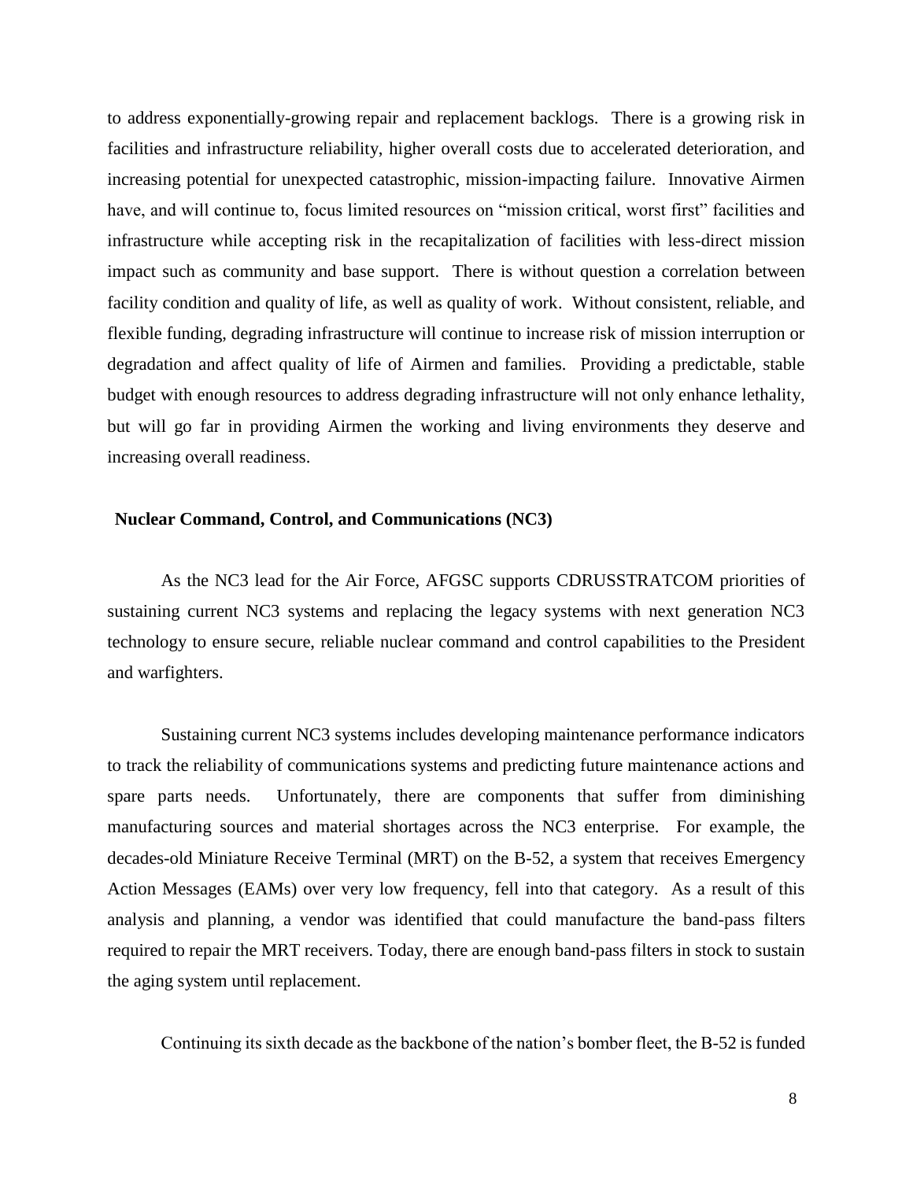to address exponentially-growing repair and replacement backlogs. There is a growing risk in facilities and infrastructure reliability, higher overall costs due to accelerated deterioration, and increasing potential for unexpected catastrophic, mission-impacting failure. Innovative Airmen have, and will continue to, focus limited resources on "mission critical, worst first" facilities and infrastructure while accepting risk in the recapitalization of facilities with less-direct mission impact such as community and base support. There is without question a correlation between facility condition and quality of life, as well as quality of work. Without consistent, reliable, and flexible funding, degrading infrastructure will continue to increase risk of mission interruption or degradation and affect quality of life of Airmen and families. Providing a predictable, stable budget with enough resources to address degrading infrastructure will not only enhance lethality, but will go far in providing Airmen the working and living environments they deserve and increasing overall readiness.

### **Nuclear Command, Control, and Communications (NC3)**

As the NC3 lead for the Air Force, AFGSC supports CDRUSSTRATCOM priorities of sustaining current NC3 systems and replacing the legacy systems with next generation NC3 technology to ensure secure, reliable nuclear command and control capabilities to the President and warfighters.

Sustaining current NC3 systems includes developing maintenance performance indicators to track the reliability of communications systems and predicting future maintenance actions and spare parts needs. Unfortunately, there are components that suffer from diminishing manufacturing sources and material shortages across the NC3 enterprise. For example, the decades-old Miniature Receive Terminal (MRT) on the B-52, a system that receives Emergency Action Messages (EAMs) over very low frequency, fell into that category. As a result of this analysis and planning, a vendor was identified that could manufacture the band-pass filters required to repair the MRT receivers. Today, there are enough band-pass filters in stock to sustain the aging system until replacement.

Continuing its sixth decade as the backbone of the nation's bomber fleet, the B-52 is funded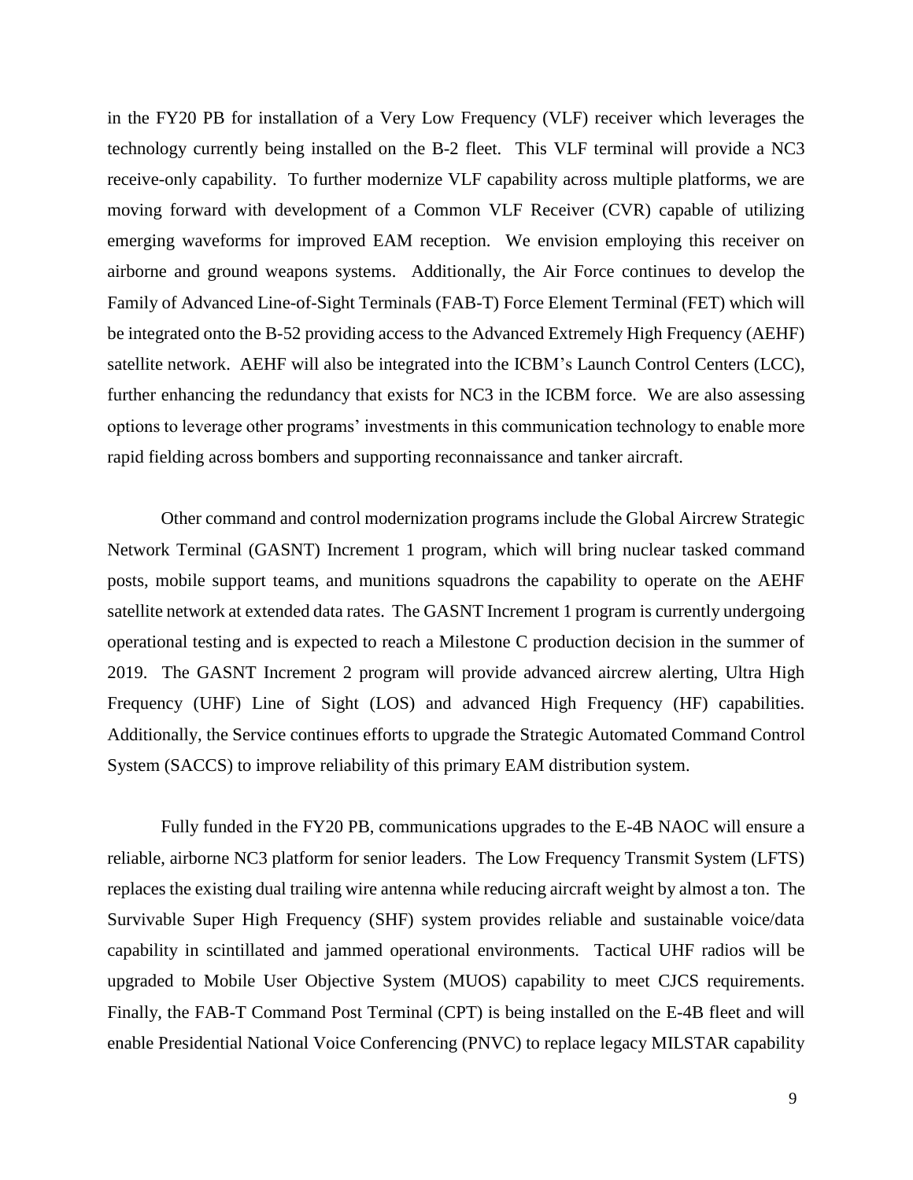in the FY20 PB for installation of a Very Low Frequency (VLF) receiver which leverages the technology currently being installed on the B-2 fleet. This VLF terminal will provide a NC3 receive-only capability. To further modernize VLF capability across multiple platforms, we are moving forward with development of a Common VLF Receiver (CVR) capable of utilizing emerging waveforms for improved EAM reception. We envision employing this receiver on airborne and ground weapons systems. Additionally, the Air Force continues to develop the Family of Advanced Line-of-Sight Terminals (FAB-T) Force Element Terminal (FET) which will be integrated onto the B-52 providing access to the Advanced Extremely High Frequency (AEHF) satellite network. AEHF will also be integrated into the ICBM's Launch Control Centers (LCC), further enhancing the redundancy that exists for NC3 in the ICBM force. We are also assessing options to leverage other programs' investments in this communication technology to enable more rapid fielding across bombers and supporting reconnaissance and tanker aircraft.

Other command and control modernization programs include the Global Aircrew Strategic Network Terminal (GASNT) Increment 1 program, which will bring nuclear tasked command posts, mobile support teams, and munitions squadrons the capability to operate on the AEHF satellite network at extended data rates. The GASNT Increment 1 program is currently undergoing operational testing and is expected to reach a Milestone C production decision in the summer of 2019. The GASNT Increment 2 program will provide advanced aircrew alerting, Ultra High Frequency (UHF) Line of Sight (LOS) and advanced High Frequency (HF) capabilities. Additionally, the Service continues efforts to upgrade the Strategic Automated Command Control System (SACCS) to improve reliability of this primary EAM distribution system.

Fully funded in the FY20 PB, communications upgrades to the E-4B NAOC will ensure a reliable, airborne NC3 platform for senior leaders. The Low Frequency Transmit System (LFTS) replaces the existing dual trailing wire antenna while reducing aircraft weight by almost a ton. The Survivable Super High Frequency (SHF) system provides reliable and sustainable voice/data capability in scintillated and jammed operational environments. Tactical UHF radios will be upgraded to Mobile User Objective System (MUOS) capability to meet CJCS requirements. Finally, the FAB-T Command Post Terminal (CPT) is being installed on the E-4B fleet and will enable Presidential National Voice Conferencing (PNVC) to replace legacy MILSTAR capability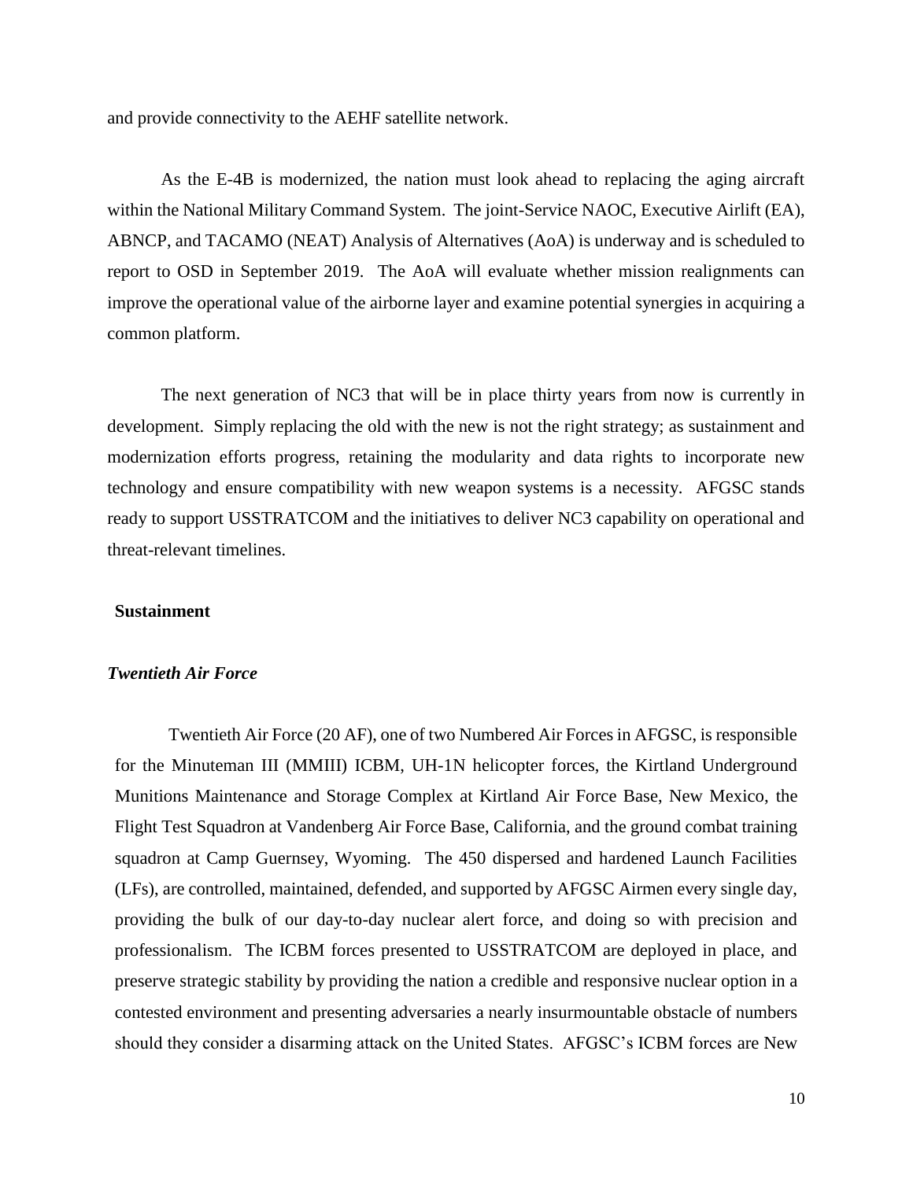and provide connectivity to the AEHF satellite network.

As the E-4B is modernized, the nation must look ahead to replacing the aging aircraft within the National Military Command System. The joint-Service NAOC, Executive Airlift (EA), ABNCP, and TACAMO (NEAT) Analysis of Alternatives (AoA) is underway and is scheduled to report to OSD in September 2019. The AoA will evaluate whether mission realignments can improve the operational value of the airborne layer and examine potential synergies in acquiring a common platform.

The next generation of NC3 that will be in place thirty years from now is currently in development. Simply replacing the old with the new is not the right strategy; as sustainment and modernization efforts progress, retaining the modularity and data rights to incorporate new technology and ensure compatibility with new weapon systems is a necessity. AFGSC stands ready to support USSTRATCOM and the initiatives to deliver NC3 capability on operational and threat-relevant timelines.

### **Sustainment**

## *Twentieth Air Force*

Twentieth Air Force (20 AF), one of two Numbered Air Forces in AFGSC, is responsible for the Minuteman III (MMIII) ICBM, UH-1N helicopter forces, the Kirtland Underground Munitions Maintenance and Storage Complex at Kirtland Air Force Base, New Mexico, the Flight Test Squadron at Vandenberg Air Force Base, California, and the ground combat training squadron at Camp Guernsey, Wyoming. The 450 dispersed and hardened Launch Facilities (LFs), are controlled, maintained, defended, and supported by AFGSC Airmen every single day, providing the bulk of our day-to-day nuclear alert force, and doing so with precision and professionalism. The ICBM forces presented to USSTRATCOM are deployed in place, and preserve strategic stability by providing the nation a credible and responsive nuclear option in a contested environment and presenting adversaries a nearly insurmountable obstacle of numbers should they consider a disarming attack on the United States. AFGSC's ICBM forces are New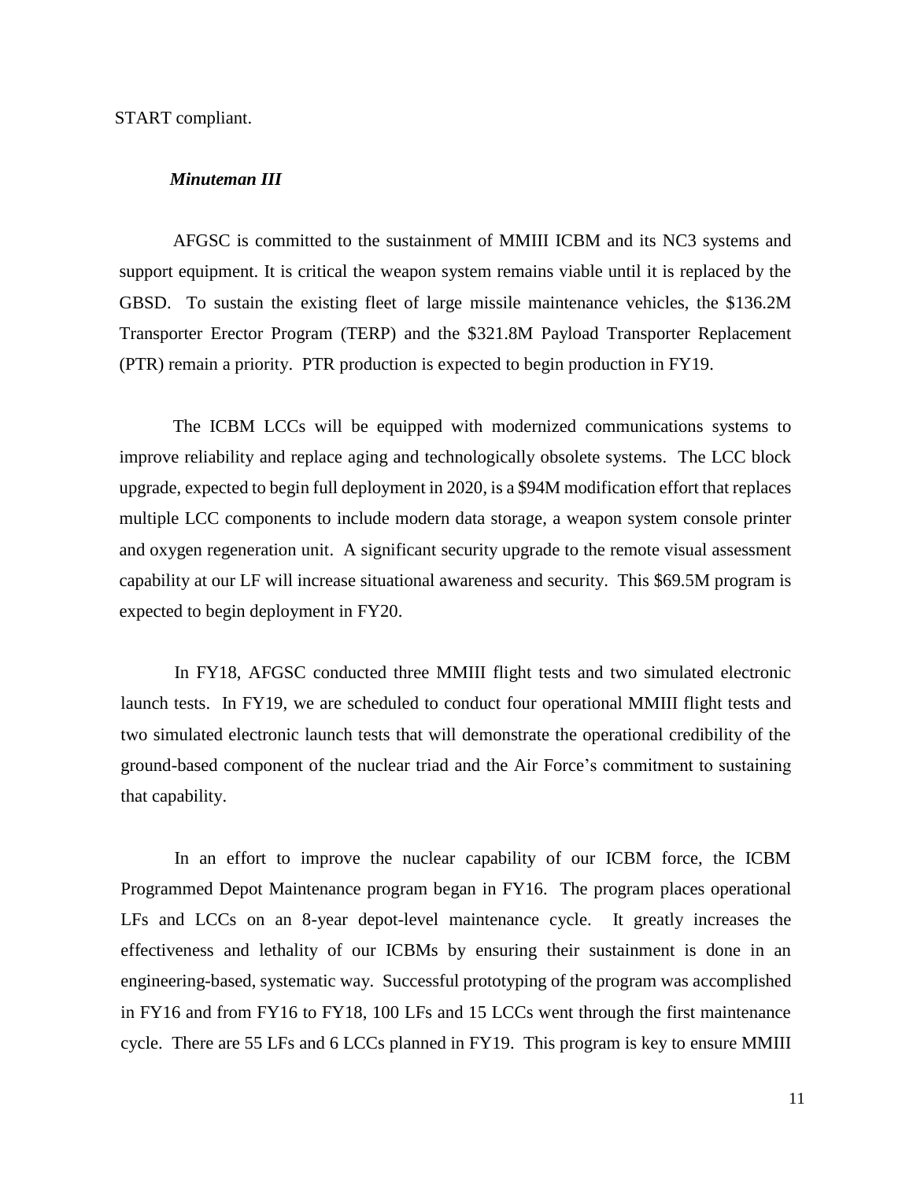START compliant.

## *Minuteman III*

AFGSC is committed to the sustainment of MMIII ICBM and its NC3 systems and support equipment. It is critical the weapon system remains viable until it is replaced by the GBSD. To sustain the existing fleet of large missile maintenance vehicles, the \$136.2M Transporter Erector Program (TERP) and the \$321.8M Payload Transporter Replacement (PTR) remain a priority. PTR production is expected to begin production in FY19.

The ICBM LCCs will be equipped with modernized communications systems to improve reliability and replace aging and technologically obsolete systems. The LCC block upgrade, expected to begin full deployment in 2020, is a \$94M modification effort that replaces multiple LCC components to include modern data storage, a weapon system console printer and oxygen regeneration unit. A significant security upgrade to the remote visual assessment capability at our LF will increase situational awareness and security. This \$69.5M program is expected to begin deployment in FY20.

In FY18, AFGSC conducted three MMIII flight tests and two simulated electronic launch tests. In FY19, we are scheduled to conduct four operational MMIII flight tests and two simulated electronic launch tests that will demonstrate the operational credibility of the ground-based component of the nuclear triad and the Air Force's commitment to sustaining that capability.

In an effort to improve the nuclear capability of our ICBM force, the ICBM Programmed Depot Maintenance program began in FY16. The program places operational LFs and LCCs on an 8-year depot-level maintenance cycle. It greatly increases the effectiveness and lethality of our ICBMs by ensuring their sustainment is done in an engineering-based, systematic way. Successful prototyping of the program was accomplished in FY16 and from FY16 to FY18, 100 LFs and 15 LCCs went through the first maintenance cycle. There are 55 LFs and 6 LCCs planned in FY19. This program is key to ensure MMIII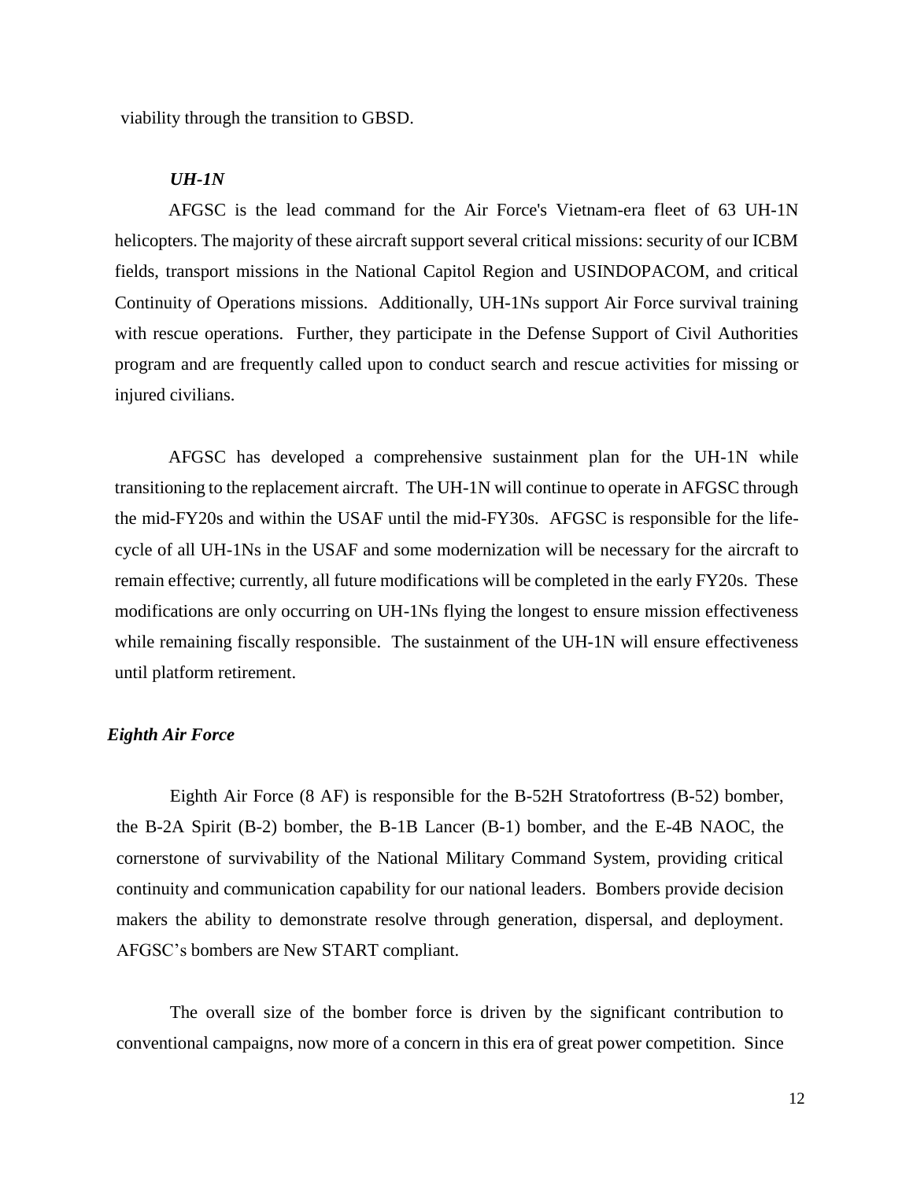viability through the transition to GBSD.

## *UH-1N*

AFGSC is the lead command for the Air Force's Vietnam-era fleet of 63 UH-1N helicopters. The majority of these aircraft support several critical missions: security of our ICBM fields, transport missions in the National Capitol Region and USINDOPACOM, and critical Continuity of Operations missions. Additionally, UH-1Ns support Air Force survival training with rescue operations. Further, they participate in the Defense Support of Civil Authorities program and are frequently called upon to conduct search and rescue activities for missing or injured civilians.

AFGSC has developed a comprehensive sustainment plan for the UH-1N while transitioning to the replacement aircraft. The UH-1N will continue to operate in AFGSC through the mid-FY20s and within the USAF until the mid-FY30s. AFGSC is responsible for the lifecycle of all UH-1Ns in the USAF and some modernization will be necessary for the aircraft to remain effective; currently, all future modifications will be completed in the early FY20s. These modifications are only occurring on UH-1Ns flying the longest to ensure mission effectiveness while remaining fiscally responsible. The sustainment of the UH-1N will ensure effectiveness until platform retirement.

#### *Eighth Air Force*

Eighth Air Force (8 AF) is responsible for the B-52H Stratofortress (B-52) bomber, the B-2A Spirit (B-2) bomber, the B-1B Lancer (B-1) bomber, and the E-4B NAOC, the cornerstone of survivability of the National Military Command System, providing critical continuity and communication capability for our national leaders. Bombers provide decision makers the ability to demonstrate resolve through generation, dispersal, and deployment. AFGSC's bombers are New START compliant.

The overall size of the bomber force is driven by the significant contribution to conventional campaigns, now more of a concern in this era of great power competition. Since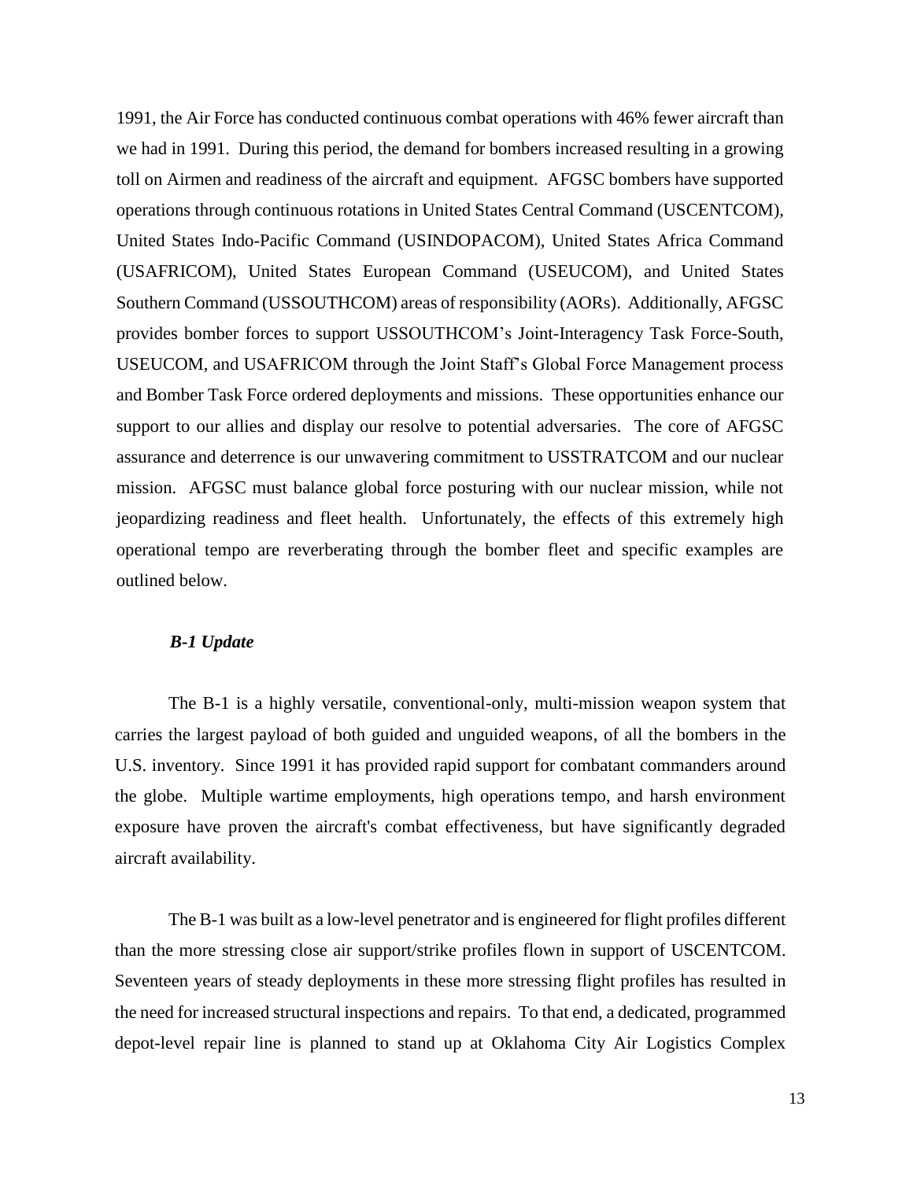1991, the Air Force has conducted continuous combat operations with 46% fewer aircraft than we had in 1991. During this period, the demand for bombers increased resulting in a growing toll on Airmen and readiness of the aircraft and equipment. AFGSC bombers have supported operations through continuous rotations in United States Central Command (USCENTCOM), United States Indo-Pacific Command (USINDOPACOM), United States Africa Command (USAFRICOM), United States European Command (USEUCOM), and United States Southern Command (USSOUTHCOM) areas of responsibility (AORs). Additionally, AFGSC provides bomber forces to support USSOUTHCOM's Joint-Interagency Task Force-South, USEUCOM, and USAFRICOM through the Joint Staff's Global Force Management process and Bomber Task Force ordered deployments and missions. These opportunities enhance our support to our allies and display our resolve to potential adversaries. The core of AFGSC assurance and deterrence is our unwavering commitment to USSTRATCOM and our nuclear mission. AFGSC must balance global force posturing with our nuclear mission, while not jeopardizing readiness and fleet health. Unfortunately, the effects of this extremely high operational tempo are reverberating through the bomber fleet and specific examples are outlined below.

## *B-1 Update*

The B-1 is a highly versatile, conventional-only, multi-mission weapon system that carries the largest payload of both guided and unguided weapons, of all the bombers in the U.S. inventory. Since 1991 it has provided rapid support for combatant commanders around the globe. Multiple wartime employments, high operations tempo, and harsh environment exposure have proven the aircraft's combat effectiveness, but have significantly degraded aircraft availability.

The B-1 was built as a low-level penetrator and is engineered for flight profiles different than the more stressing close air support/strike profiles flown in support of USCENTCOM. Seventeen years of steady deployments in these more stressing flight profiles has resulted in the need for increased structural inspections and repairs. To that end, a dedicated, programmed depot-level repair line is planned to stand up at Oklahoma City Air Logistics Complex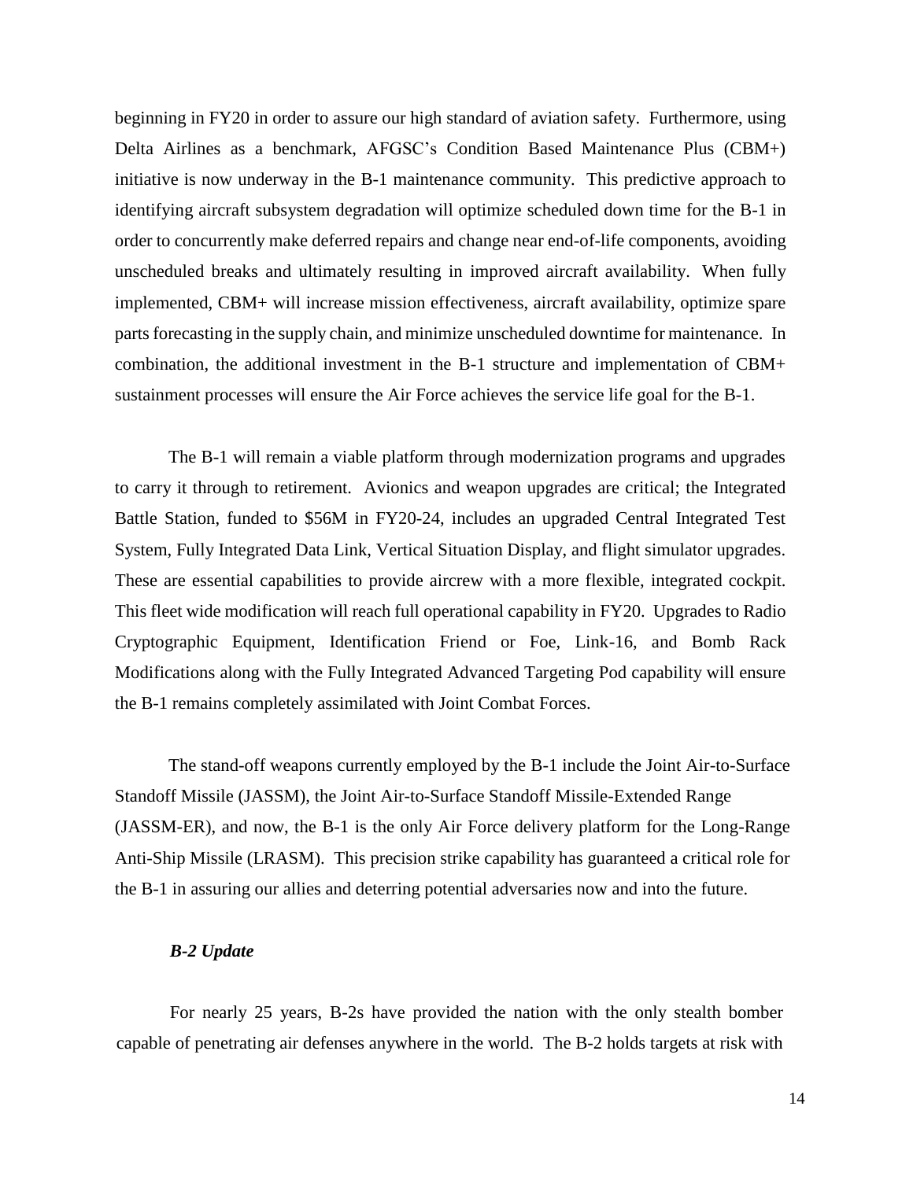beginning in FY20 in order to assure our high standard of aviation safety. Furthermore, using Delta Airlines as a benchmark, AFGSC's Condition Based Maintenance Plus (CBM+) initiative is now underway in the B-1 maintenance community. This predictive approach to identifying aircraft subsystem degradation will optimize scheduled down time for the B-1 in order to concurrently make deferred repairs and change near end-of-life components, avoiding unscheduled breaks and ultimately resulting in improved aircraft availability. When fully implemented, CBM+ will increase mission effectiveness, aircraft availability, optimize spare parts forecasting in the supply chain, and minimize unscheduled downtime for maintenance. In combination, the additional investment in the B-1 structure and implementation of CBM+ sustainment processes will ensure the Air Force achieves the service life goal for the B-1.

The B-1 will remain a viable platform through modernization programs and upgrades to carry it through to retirement. Avionics and weapon upgrades are critical; the Integrated Battle Station, funded to \$56M in FY20-24, includes an upgraded Central Integrated Test System, Fully Integrated Data Link, Vertical Situation Display, and flight simulator upgrades. These are essential capabilities to provide aircrew with a more flexible, integrated cockpit. This fleet wide modification will reach full operational capability in FY20. Upgrades to Radio Cryptographic Equipment, Identification Friend or Foe, Link-16, and Bomb Rack Modifications along with the Fully Integrated Advanced Targeting Pod capability will ensure the B-1 remains completely assimilated with Joint Combat Forces.

The stand-off weapons currently employed by the B-1 include the Joint Air-to-Surface Standoff Missile (JASSM), the Joint Air-to-Surface Standoff Missile-Extended Range (JASSM-ER), and now, the B-1 is the only Air Force delivery platform for the Long-Range Anti-Ship Missile (LRASM). This precision strike capability has guaranteed a critical role for the B-1 in assuring our allies and deterring potential adversaries now and into the future.

## *B-2 Update*

For nearly 25 years, B-2s have provided the nation with the only stealth bomber capable of penetrating air defenses anywhere in the world. The B-2 holds targets at risk with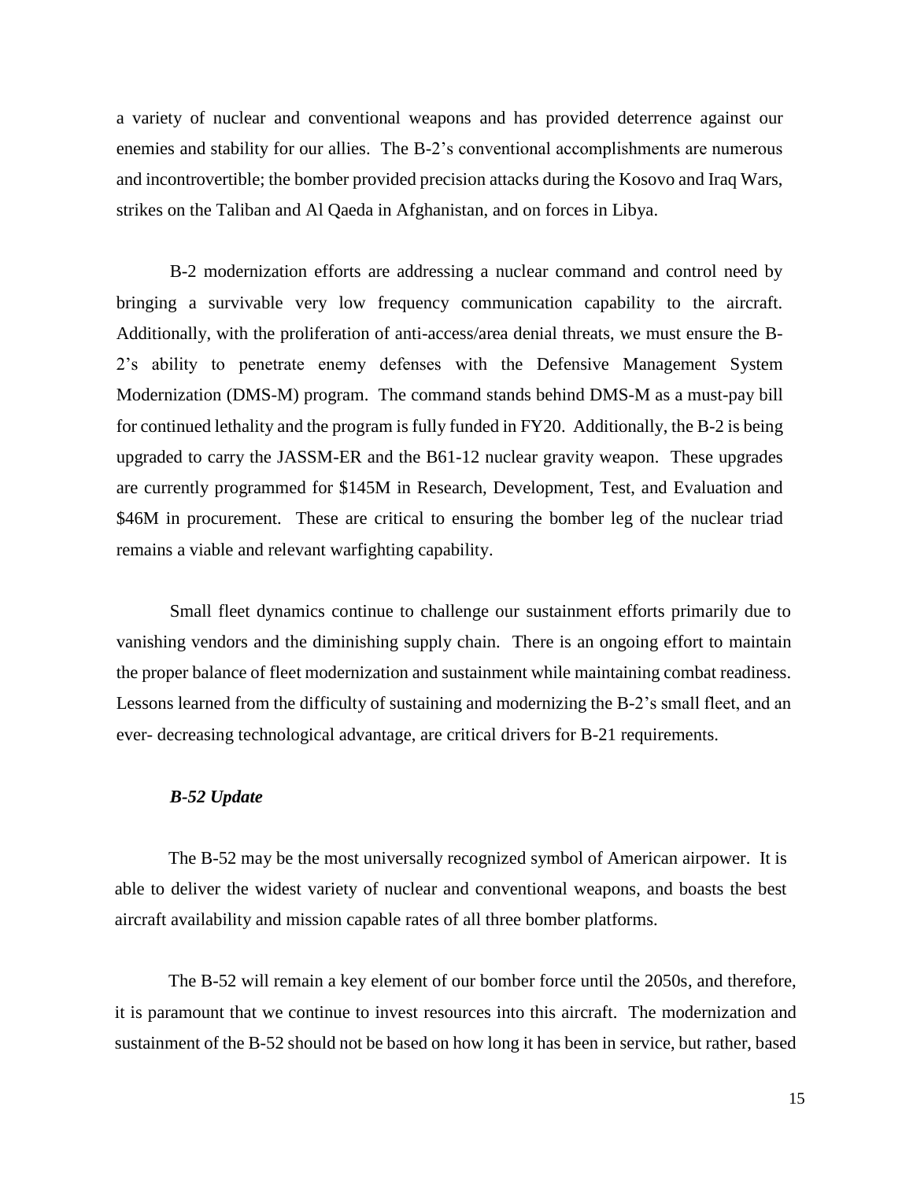a variety of nuclear and conventional weapons and has provided deterrence against our enemies and stability for our allies. The B-2's conventional accomplishments are numerous and incontrovertible; the bomber provided precision attacks during the Kosovo and Iraq Wars, strikes on the Taliban and Al Qaeda in Afghanistan, and on forces in Libya.

B-2 modernization efforts are addressing a nuclear command and control need by bringing a survivable very low frequency communication capability to the aircraft. Additionally, with the proliferation of anti-access/area denial threats, we must ensure the B-2's ability to penetrate enemy defenses with the Defensive Management System Modernization (DMS-M) program. The command stands behind DMS-M as a must-pay bill for continued lethality and the program is fully funded in FY20. Additionally, the B-2 is being upgraded to carry the JASSM-ER and the B61-12 nuclear gravity weapon. These upgrades are currently programmed for \$145M in Research, Development, Test, and Evaluation and \$46M in procurement. These are critical to ensuring the bomber leg of the nuclear triad remains a viable and relevant warfighting capability.

Small fleet dynamics continue to challenge our sustainment efforts primarily due to vanishing vendors and the diminishing supply chain. There is an ongoing effort to maintain the proper balance of fleet modernization and sustainment while maintaining combat readiness. Lessons learned from the difficulty of sustaining and modernizing the B-2's small fleet, and an ever- decreasing technological advantage, are critical drivers for B-21 requirements.

## *B-52 Update*

The B-52 may be the most universally recognized symbol of American airpower. It is able to deliver the widest variety of nuclear and conventional weapons, and boasts the best aircraft availability and mission capable rates of all three bomber platforms.

The B-52 will remain a key element of our bomber force until the 2050s, and therefore, it is paramount that we continue to invest resources into this aircraft. The modernization and sustainment of the B-52 should not be based on how long it has been in service, but rather, based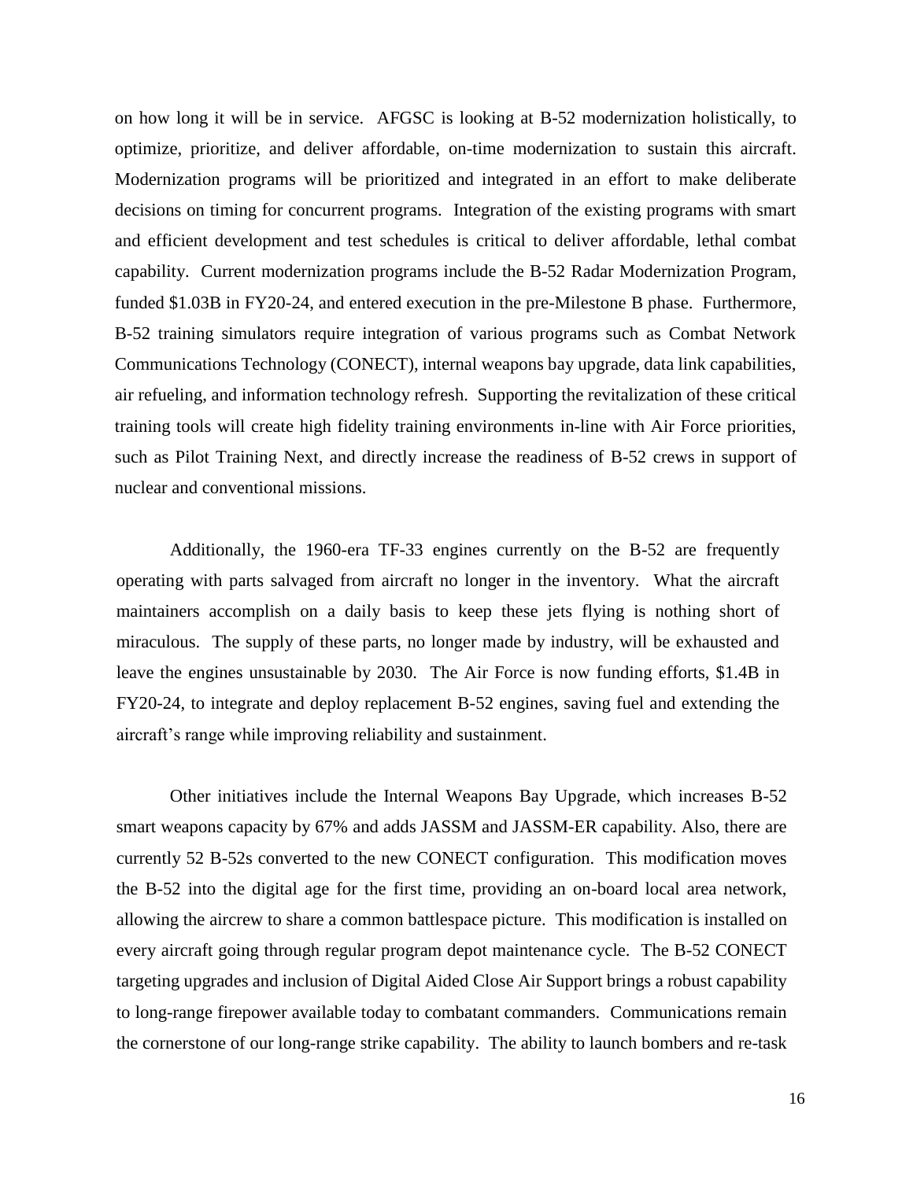on how long it will be in service. AFGSC is looking at B-52 modernization holistically, to optimize, prioritize, and deliver affordable, on-time modernization to sustain this aircraft. Modernization programs will be prioritized and integrated in an effort to make deliberate decisions on timing for concurrent programs. Integration of the existing programs with smart and efficient development and test schedules is critical to deliver affordable, lethal combat capability. Current modernization programs include the B-52 Radar Modernization Program, funded \$1.03B in FY20-24, and entered execution in the pre-Milestone B phase. Furthermore, B-52 training simulators require integration of various programs such as Combat Network Communications Technology (CONECT), internal weapons bay upgrade, data link capabilities, air refueling, and information technology refresh. Supporting the revitalization of these critical training tools will create high fidelity training environments in-line with Air Force priorities, such as Pilot Training Next, and directly increase the readiness of B-52 crews in support of nuclear and conventional missions.

Additionally, the 1960-era TF-33 engines currently on the B-52 are frequently operating with parts salvaged from aircraft no longer in the inventory. What the aircraft maintainers accomplish on a daily basis to keep these jets flying is nothing short of miraculous. The supply of these parts, no longer made by industry, will be exhausted and leave the engines unsustainable by 2030. The Air Force is now funding efforts, \$1.4B in FY20-24, to integrate and deploy replacement B-52 engines, saving fuel and extending the aircraft's range while improving reliability and sustainment.

Other initiatives include the Internal Weapons Bay Upgrade, which increases B-52 smart weapons capacity by 67% and adds JASSM and JASSM-ER capability. Also, there are currently 52 B-52s converted to the new CONECT configuration. This modification moves the B-52 into the digital age for the first time, providing an on-board local area network, allowing the aircrew to share a common battlespace picture. This modification is installed on every aircraft going through regular program depot maintenance cycle. The B-52 CONECT targeting upgrades and inclusion of Digital Aided Close Air Support brings a robust capability to long-range firepower available today to combatant commanders. Communications remain the cornerstone of our long-range strike capability. The ability to launch bombers and re-task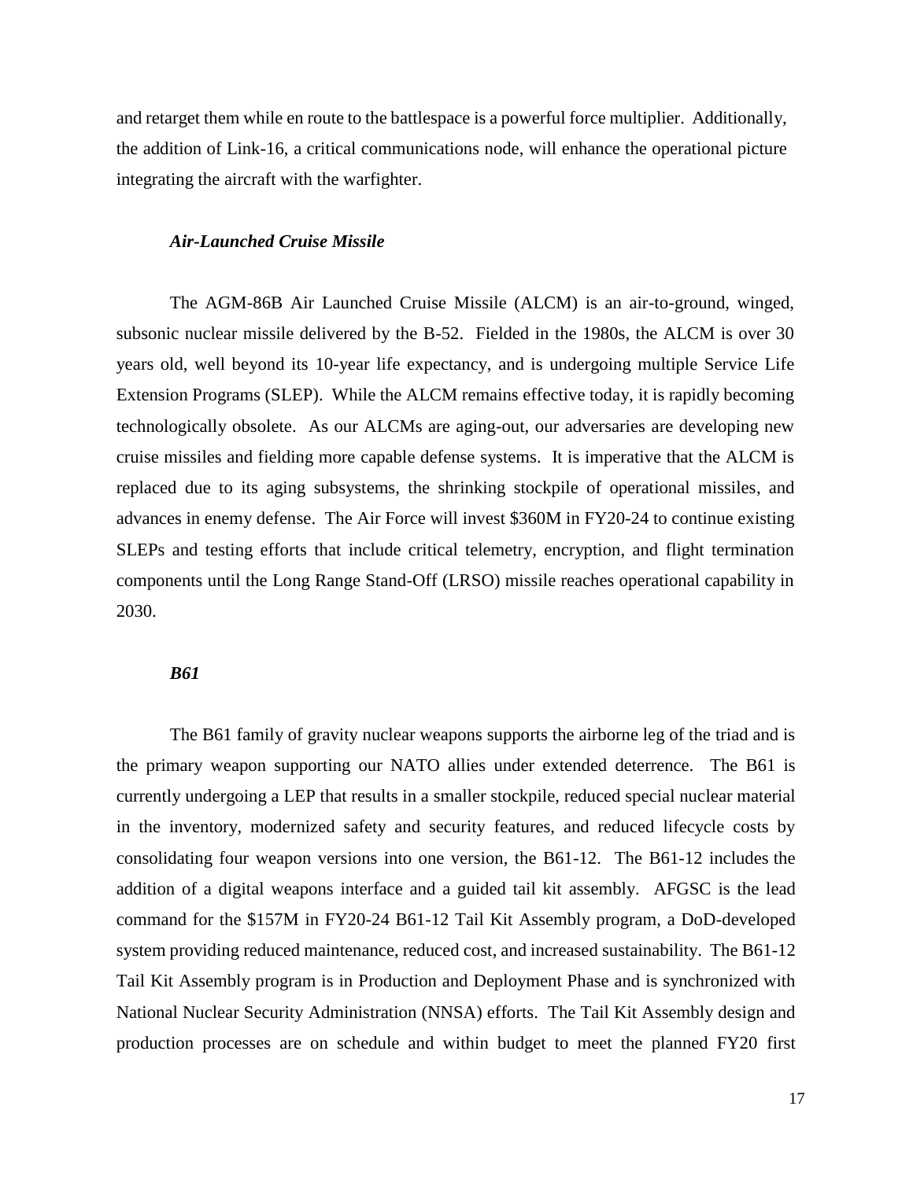and retarget them while en route to the battlespace is a powerful force multiplier. Additionally, the addition of Link-16, a critical communications node, will enhance the operational picture integrating the aircraft with the warfighter.

## *Air-Launched Cruise Missile*

The AGM-86B Air Launched Cruise Missile (ALCM) is an air-to-ground, winged, subsonic nuclear missile delivered by the B-52. Fielded in the 1980s, the ALCM is over 30 years old, well beyond its 10-year life expectancy, and is undergoing multiple Service Life Extension Programs (SLEP). While the ALCM remains effective today, it is rapidly becoming technologically obsolete. As our ALCMs are aging-out, our adversaries are developing new cruise missiles and fielding more capable defense systems. It is imperative that the ALCM is replaced due to its aging subsystems, the shrinking stockpile of operational missiles, and advances in enemy defense. The Air Force will invest \$360M in FY20-24 to continue existing SLEPs and testing efforts that include critical telemetry, encryption, and flight termination components until the Long Range Stand-Off (LRSO) missile reaches operational capability in 2030.

### *B61*

The B61 family of gravity nuclear weapons supports the airborne leg of the triad and is the primary weapon supporting our NATO allies under extended deterrence. The B61 is currently undergoing a LEP that results in a smaller stockpile, reduced special nuclear material in the inventory, modernized safety and security features, and reduced lifecycle costs by consolidating four weapon versions into one version, the B61-12. The B61-12 includes the addition of a digital weapons interface and a guided tail kit assembly. AFGSC is the lead command for the \$157M in FY20-24 B61-12 Tail Kit Assembly program, a DoD-developed system providing reduced maintenance, reduced cost, and increased sustainability. The B61-12 Tail Kit Assembly program is in Production and Deployment Phase and is synchronized with National Nuclear Security Administration (NNSA) efforts. The Tail Kit Assembly design and production processes are on schedule and within budget to meet the planned FY20 first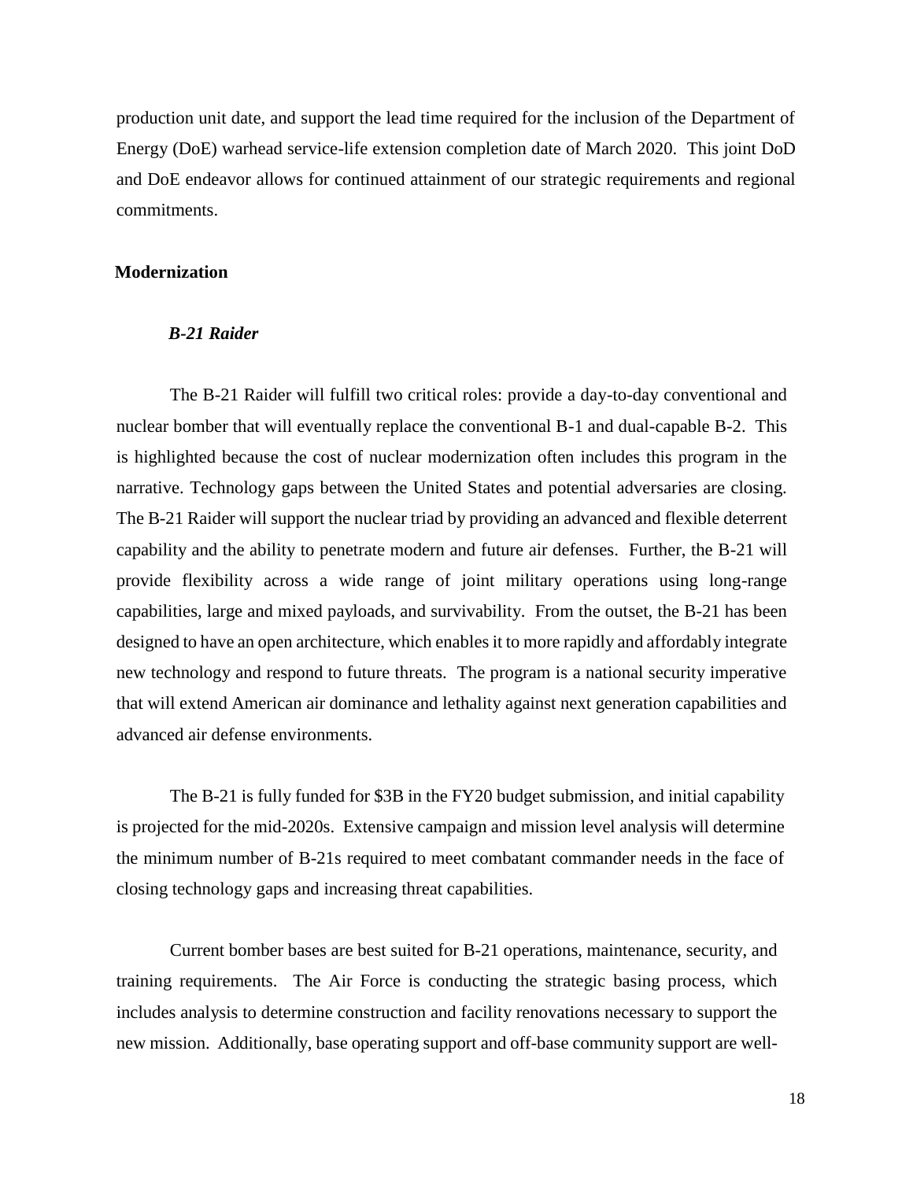production unit date, and support the lead time required for the inclusion of the Department of Energy (DoE) warhead service-life extension completion date of March 2020. This joint DoD and DoE endeavor allows for continued attainment of our strategic requirements and regional commitments.

## **Modernization**

#### *B-21 Raider*

The B-21 Raider will fulfill two critical roles: provide a day-to-day conventional and nuclear bomber that will eventually replace the conventional B-1 and dual-capable B-2. This is highlighted because the cost of nuclear modernization often includes this program in the narrative. Technology gaps between the United States and potential adversaries are closing. The B-21 Raider will support the nuclear triad by providing an advanced and flexible deterrent capability and the ability to penetrate modern and future air defenses. Further, the B-21 will provide flexibility across a wide range of joint military operations using long-range capabilities, large and mixed payloads, and survivability. From the outset, the B-21 has been designed to have an open architecture, which enables it to more rapidly and affordably integrate new technology and respond to future threats. The program is a national security imperative that will extend American air dominance and lethality against next generation capabilities and advanced air defense environments.

The B-21 is fully funded for \$3B in the FY20 budget submission, and initial capability is projected for the mid-2020s. Extensive campaign and mission level analysis will determine the minimum number of B-21s required to meet combatant commander needs in the face of closing technology gaps and increasing threat capabilities.

Current bomber bases are best suited for B-21 operations, maintenance, security, and training requirements. The Air Force is conducting the strategic basing process, which includes analysis to determine construction and facility renovations necessary to support the new mission. Additionally, base operating support and off-base community support are well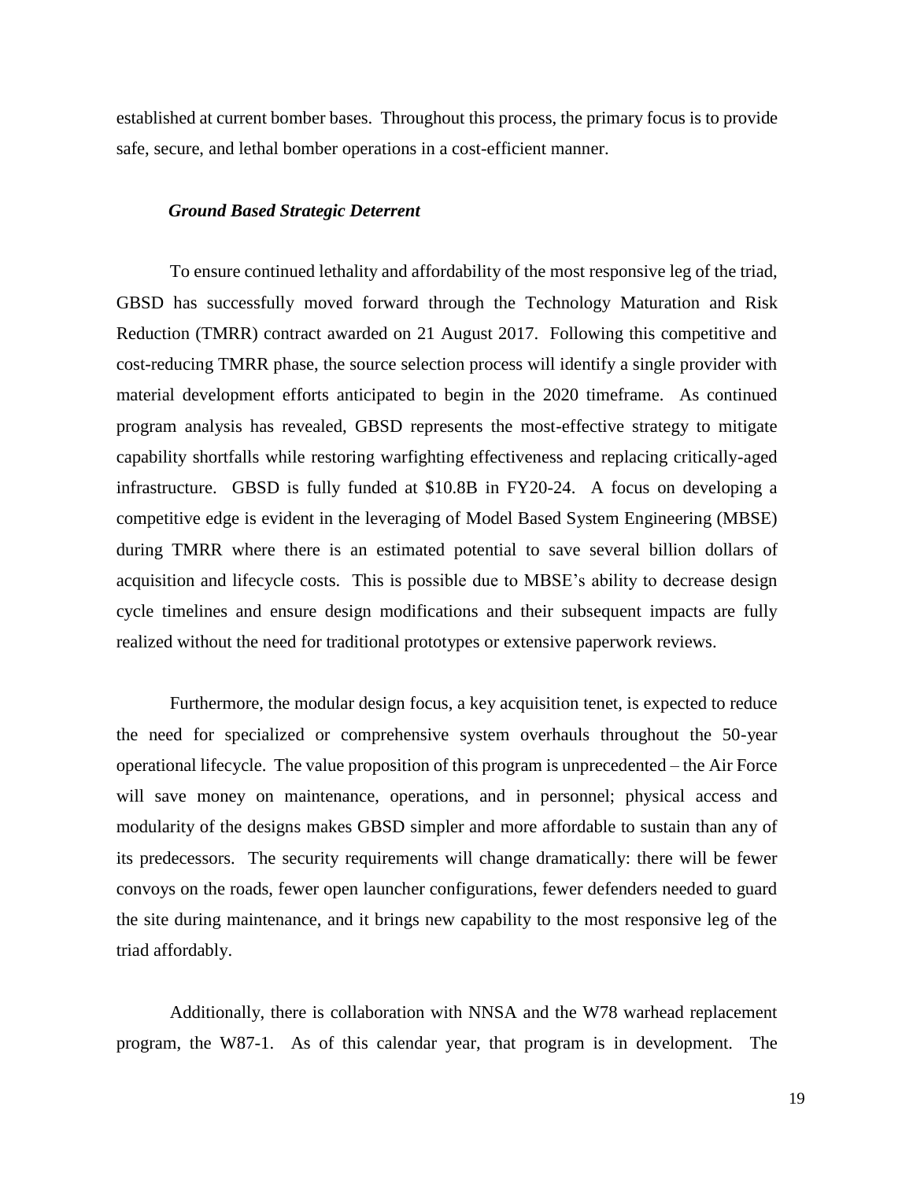established at current bomber bases. Throughout this process, the primary focus is to provide safe, secure, and lethal bomber operations in a cost-efficient manner.

#### *Ground Based Strategic Deterrent*

To ensure continued lethality and affordability of the most responsive leg of the triad, GBSD has successfully moved forward through the Technology Maturation and Risk Reduction (TMRR) contract awarded on 21 August 2017. Following this competitive and cost-reducing TMRR phase, the source selection process will identify a single provider with material development efforts anticipated to begin in the 2020 timeframe. As continued program analysis has revealed, GBSD represents the most-effective strategy to mitigate capability shortfalls while restoring warfighting effectiveness and replacing critically-aged infrastructure. GBSD is fully funded at \$10.8B in FY20-24. A focus on developing a competitive edge is evident in the leveraging of Model Based System Engineering (MBSE) during TMRR where there is an estimated potential to save several billion dollars of acquisition and lifecycle costs. This is possible due to MBSE's ability to decrease design cycle timelines and ensure design modifications and their subsequent impacts are fully realized without the need for traditional prototypes or extensive paperwork reviews.

Furthermore, the modular design focus, a key acquisition tenet, is expected to reduce the need for specialized or comprehensive system overhauls throughout the 50-year operational lifecycle. The value proposition of this program is unprecedented – the Air Force will save money on maintenance, operations, and in personnel; physical access and modularity of the designs makes GBSD simpler and more affordable to sustain than any of its predecessors. The security requirements will change dramatically: there will be fewer convoys on the roads, fewer open launcher configurations, fewer defenders needed to guard the site during maintenance, and it brings new capability to the most responsive leg of the triad affordably.

Additionally, there is collaboration with NNSA and the W78 warhead replacement program, the W87-1. As of this calendar year, that program is in development. The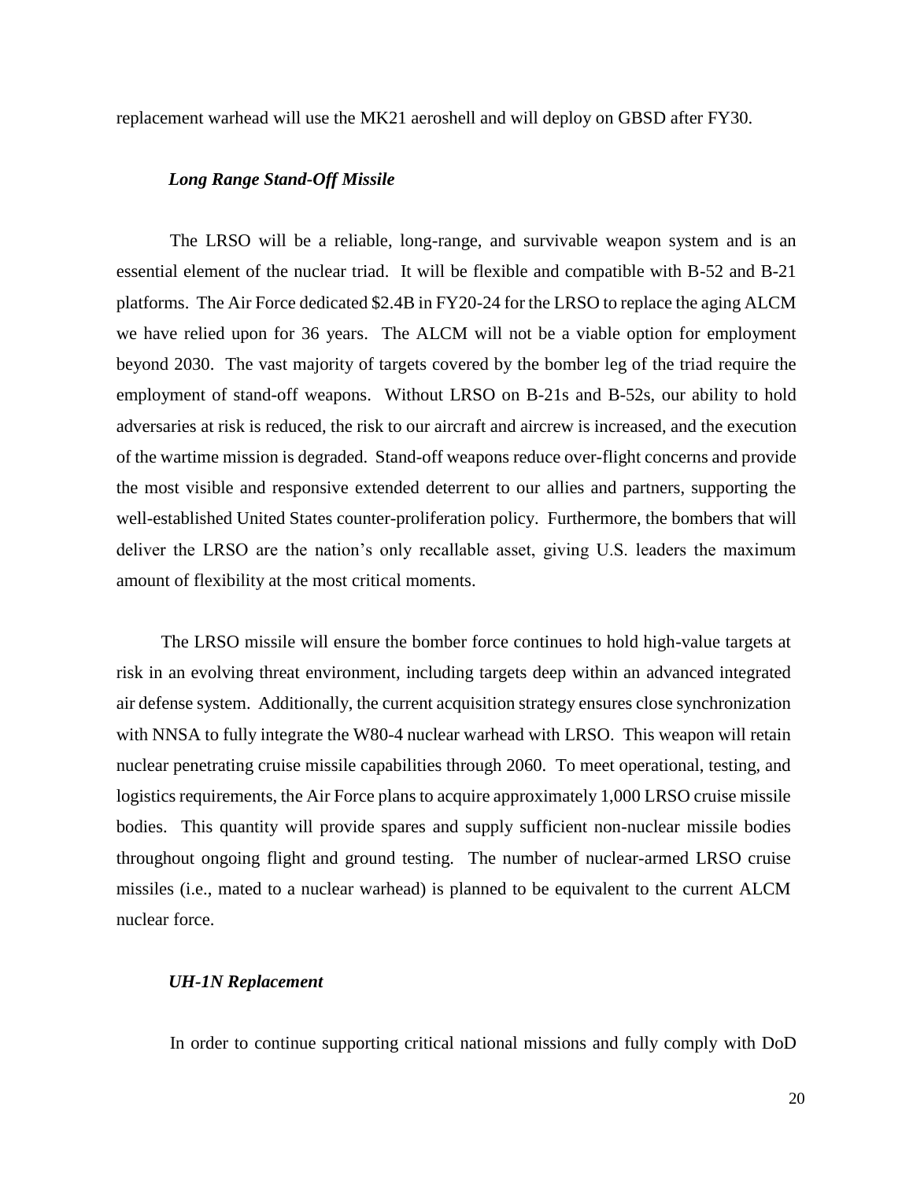replacement warhead will use the MK21 aeroshell and will deploy on GBSD after FY30.

## *Long Range Stand-Off Missile*

The LRSO will be a reliable, long-range, and survivable weapon system and is an essential element of the nuclear triad. It will be flexible and compatible with B-52 and B-21 platforms. The Air Force dedicated \$2.4B in FY20-24 for the LRSO to replace the aging ALCM we have relied upon for 36 years. The ALCM will not be a viable option for employment beyond 2030. The vast majority of targets covered by the bomber leg of the triad require the employment of stand-off weapons. Without LRSO on B-21s and B-52s, our ability to hold adversaries at risk is reduced, the risk to our aircraft and aircrew is increased, and the execution of the wartime mission is degraded. Stand-off weapons reduce over-flight concerns and provide the most visible and responsive extended deterrent to our allies and partners, supporting the well-established United States counter-proliferation policy. Furthermore, the bombers that will deliver the LRSO are the nation's only recallable asset, giving U.S. leaders the maximum amount of flexibility at the most critical moments.

The LRSO missile will ensure the bomber force continues to hold high-value targets at risk in an evolving threat environment, including targets deep within an advanced integrated air defense system. Additionally, the current acquisition strategy ensures close synchronization with NNSA to fully integrate the W80-4 nuclear warhead with LRSO. This weapon will retain nuclear penetrating cruise missile capabilities through 2060. To meet operational, testing, and logistics requirements, the Air Force plans to acquire approximately 1,000 LRSO cruise missile bodies. This quantity will provide spares and supply sufficient non-nuclear missile bodies throughout ongoing flight and ground testing. The number of nuclear-armed LRSO cruise missiles (i.e., mated to a nuclear warhead) is planned to be equivalent to the current ALCM nuclear force.

### *UH-1N Replacement*

In order to continue supporting critical national missions and fully comply with DoD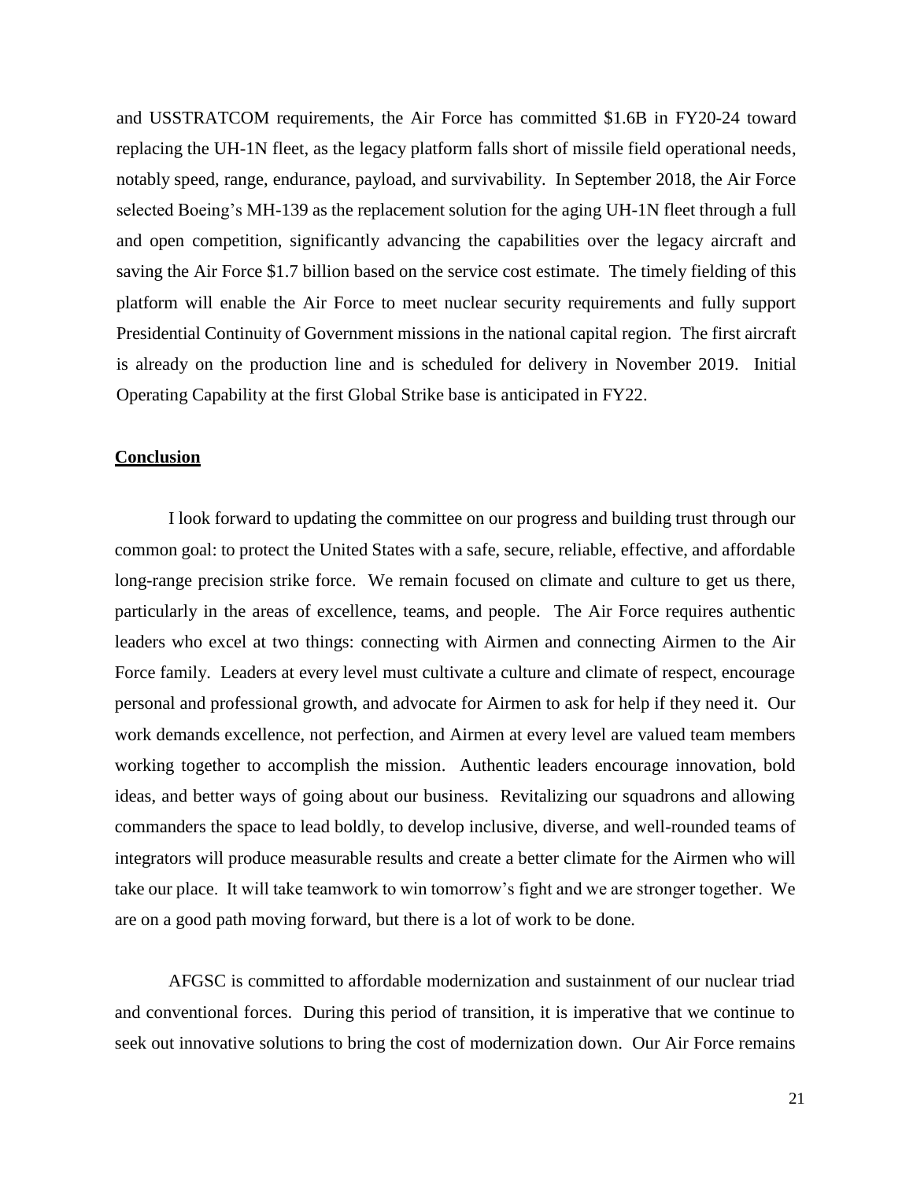and USSTRATCOM requirements, the Air Force has committed \$1.6B in FY20-24 toward replacing the UH-1N fleet, as the legacy platform falls short of missile field operational needs, notably speed, range, endurance, payload, and survivability. In September 2018, the Air Force selected Boeing's MH-139 as the replacement solution for the aging UH-1N fleet through a full and open competition, significantly advancing the capabilities over the legacy aircraft and saving the Air Force \$1.7 billion based on the service cost estimate. The timely fielding of this platform will enable the Air Force to meet nuclear security requirements and fully support Presidential Continuity of Government missions in the national capital region. The first aircraft is already on the production line and is scheduled for delivery in November 2019. Initial Operating Capability at the first Global Strike base is anticipated in FY22.

#### **Conclusion**

I look forward to updating the committee on our progress and building trust through our common goal: to protect the United States with a safe, secure, reliable, effective, and affordable long-range precision strike force. We remain focused on climate and culture to get us there, particularly in the areas of excellence, teams, and people. The Air Force requires authentic leaders who excel at two things: connecting with Airmen and connecting Airmen to the Air Force family. Leaders at every level must cultivate a culture and climate of respect, encourage personal and professional growth, and advocate for Airmen to ask for help if they need it. Our work demands excellence, not perfection, and Airmen at every level are valued team members working together to accomplish the mission. Authentic leaders encourage innovation, bold ideas, and better ways of going about our business. Revitalizing our squadrons and allowing commanders the space to lead boldly, to develop inclusive, diverse, and well-rounded teams of integrators will produce measurable results and create a better climate for the Airmen who will take our place. It will take teamwork to win tomorrow's fight and we are stronger together. We are on a good path moving forward, but there is a lot of work to be done.

AFGSC is committed to affordable modernization and sustainment of our nuclear triad and conventional forces. During this period of transition, it is imperative that we continue to seek out innovative solutions to bring the cost of modernization down. Our Air Force remains